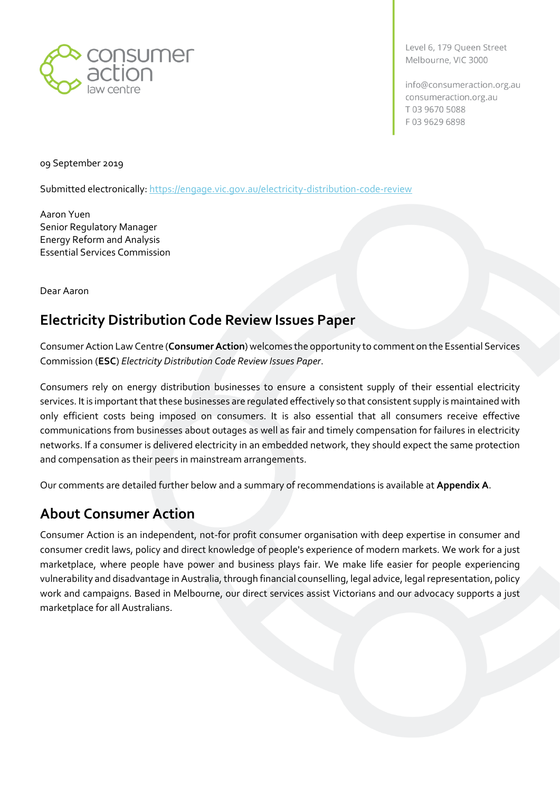

Level 6, 179 Queen Street Melbourne, VIC 3000

info@consumeraction.org.au consumeraction.org.au T0396705088 F0396296898

09 September 2019

Submitted electronically:<https://engage.vic.gov.au/electricity-distribution-code-review>

Aaron Yuen Senior Regulatory Manager Energy Reform and Analysis Essential Services Commission

Dear Aaron

## **Electricity Distribution Code Review Issues Paper**

Consumer Action Law Centre (**ConsumerAction**) welcomes the opportunity to comment on the Essential Services Commission (**ESC**) *Electricity Distribution Code Review Issues Paper*.

Consumers rely on energy distribution businesses to ensure a consistent supply of their essential electricity services. It is important that these businesses are regulated effectively so that consistent supply is maintained with only efficient costs being imposed on consumers. It is also essential that all consumers receive effective communications from businesses about outages as well as fair and timely compensation for failures in electricity networks. If a consumer is delivered electricity in an embedded network, they should expect the same protection and compensation as their peers in mainstream arrangements.

Our comments are detailed further below and a summary of recommendations is available at **Appendix A**.

## <span id="page-0-0"></span>**About Consumer Action**

Consumer Action is an independent, not-for profit consumer organisation with deep expertise in consumer and consumer credit laws, policy and direct knowledge of people's experience of modern markets. We work for a just marketplace, where people have power and business plays fair. We make life easier for people experiencing vulnerability and disadvantage in Australia, through financial counselling, legal advice, legal representation, policy work and campaigns. Based in Melbourne, our direct services assist Victorians and our advocacy supports a just marketplace for all Australians.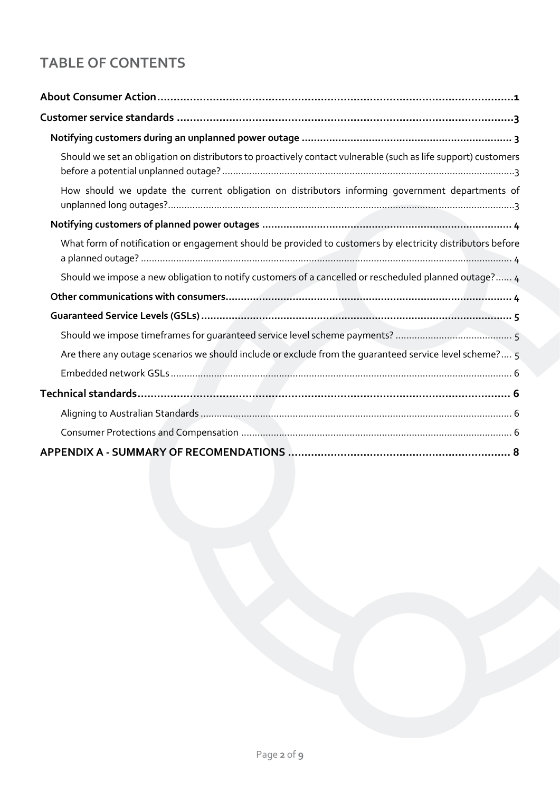# **TABLE OF CONTENTS**

| Should we set an obligation on distributors to proactively contact vulnerable (such as life support) customers |
|----------------------------------------------------------------------------------------------------------------|
| How should we update the current obligation on distributors informing government departments of                |
|                                                                                                                |
| What form of notification or engagement should be provided to customers by electricity distributors before     |
| Should we impose a new obligation to notify customers of a cancelled or rescheduled planned outage? 4          |
|                                                                                                                |
|                                                                                                                |
|                                                                                                                |
| Are there any outage scenarios we should include or exclude from the guaranteed service level scheme? 5        |
|                                                                                                                |
|                                                                                                                |
|                                                                                                                |
|                                                                                                                |
|                                                                                                                |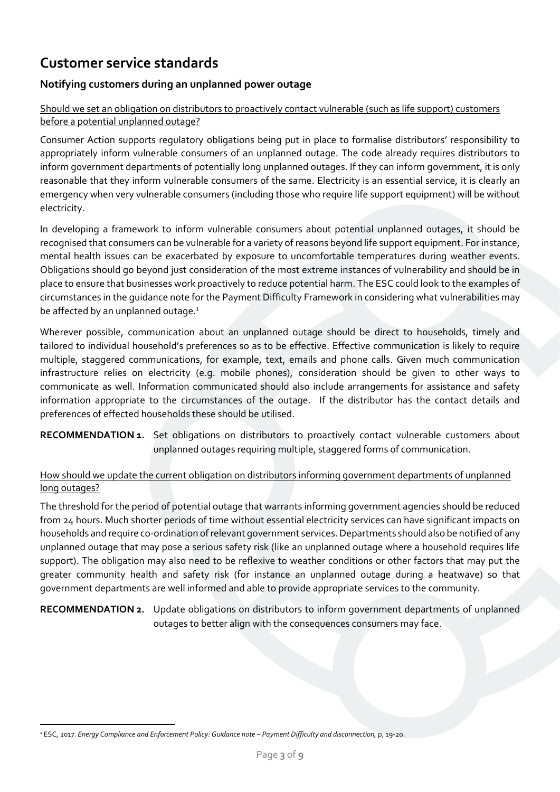# <span id="page-2-0"></span>**Customer service standards**

#### <span id="page-2-1"></span>**Notifying customers during an unplanned power outage**

#### <span id="page-2-2"></span>Should we set an obligation on distributors to proactively contact vulnerable (such as life support) customers before a potential unplanned outage?

Consumer Action supports regulatory obligations being put in place to formalise distributors' responsibility to appropriately inform vulnerable consumers of an unplanned outage. The code already requires distributors to inform government departments of potentially long unplanned outages. If they can inform government, it is only reasonable that they inform vulnerable consumers of the same. Electricity is an essential service, it is clearly an emergency when very vulnerable consumers (including those who require life support equipment) will be without electricity.

In developing a framework to inform vulnerable consumers about potential unplanned outages, it should be recognised that consumers can be vulnerable for a variety of reasons beyond life support equipment. For instance, mental health issues can be exacerbated by exposure to uncomfortable temperatures during weather events. Obligations should go beyond just consideration of the most extreme instances of vulnerability and should be in place to ensure that businesses work proactively to reduce potential harm. The ESC could look to the examples of circumstances in the guidance note for the Payment Difficulty Framework in considering what vulnerabilities may be affected by an unplanned outage.<sup>1</sup>

Wherever possible, communication about an unplanned outage should be direct to households, timely and tailored to individual household's preferences so as to be effective. Effective communication is likely to require multiple, staggered communications, for example, text, emails and phone calls. Given much communication infrastructure relies on electricity (e.g. mobile phones), consideration should be given to other ways to communicate as well. Information communicated should also include arrangements for assistance and safety information appropriate to the circumstances of the outage. If the distributor has the contact details and preferences of effected households these should be utilised.

RECOMMENDATION 1. Set obligations on distributors to proactively contact vulnerable customers about unplanned outages requiring multiple, staggered forms of communication.

#### <span id="page-2-3"></span>How should we update the current obligation on distributors informing government departments of unplanned long outages?

The threshold for the period of potential outage that warrants informing government agencies should be reduced from 24 hours. Much shorter periods of time without essential electricity services can have significant impacts on households and require co-ordination of relevant government services.Departments should also be notified of any unplanned outage that may pose a serious safety risk (like an unplanned outage where a household requires life support). The obligation may also need to be reflexive to weather conditions or other factors that may put the greater community health and safety risk (for instance an unplanned outage during a heatwave) so that government departments are well informed and able to provide appropriate services to the community.

**RECOMMENDATION 2.** Update obligations on distributors to inform government departments of unplanned outages to better align with the consequences consumers may face.

<sup>1</sup> ESC, 2017. *Energy Compliance and Enforcement Policy: Guidance note – Payment Difficulty and disconnection,* p, 19-20.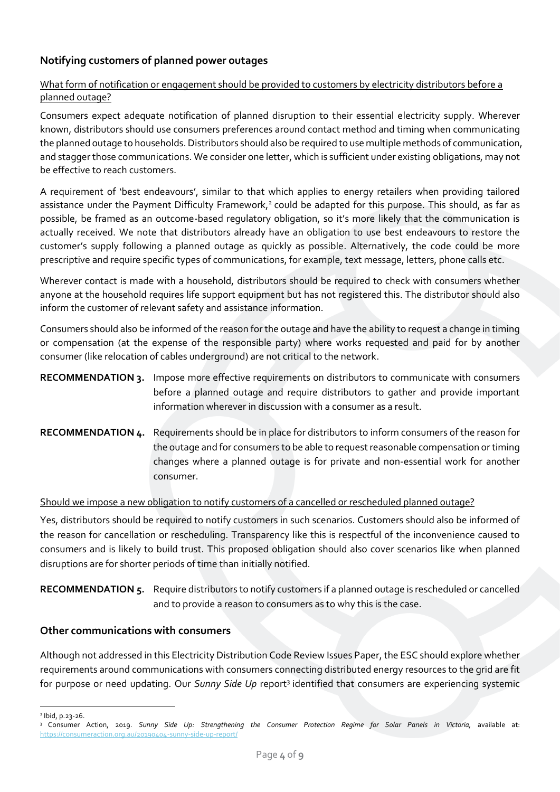### <span id="page-3-0"></span>**Notifying customers of planned power outages**

#### <span id="page-3-1"></span>What form of notification or engagement should be provided to customers by electricity distributors before a planned outage?

Consumers expect adequate notification of planned disruption to their essential electricity supply. Wherever known, distributors should use consumers preferences around contact method and timing when communicating the planned outage to households. Distributors should also be required to use multiple methods of communication, and stagger those communications. We consider one letter, which is sufficient under existing obligations, may not be effective to reach customers.

A requirement of 'best endeavours', similar to that which applies to energy retailers when providing tailored assistance under the Payment Difficulty Framework,<sup>2</sup> could be adapted for this purpose. This should, as far as possible, be framed as an outcome-based regulatory obligation, so it's more likely that the communication is actually received. We note that distributors already have an obligation to use best endeavours to restore the customer's supply following a planned outage as quickly as possible. Alternatively, the code could be more prescriptive and require specific types of communications, for example, text message, letters, phone calls etc.

Wherever contact is made with a household, distributors should be required to check with consumers whether anyone at the household requires life support equipment but has not registered this. The distributor should also inform the customer of relevant safety and assistance information.

Consumers should also be informed of the reason for the outage and have the ability to request a change in timing or compensation (at the expense of the responsible party) where works requested and paid for by another consumer (like relocation of cables underground) are not critical to the network.

### **RECOMMENDATION 3.** Impose more effective requirements on distributors to communicate with consumers before a planned outage and require distributors to gather and provide important information wherever in discussion with a consumer as a result.

**RECOMMENDATION 4.** Requirements should be in place for distributors to inform consumers of the reason for the outage and for consumers to be able to request reasonable compensation or timing changes where a planned outage is for private and non-essential work for another consumer.

#### <span id="page-3-2"></span>Should we impose a new obligation to notify customers of a cancelled or rescheduled planned outage?

Yes, distributors should be required to notify customers in such scenarios. Customers should also be informed of the reason for cancellation or rescheduling. Transparency like this is respectful of the inconvenience caused to consumers and is likely to build trust. This proposed obligation should also cover scenarios like when planned disruptions are for shorter periods of time than initially notified.

#### **RECOMMENDATION 5.** Require distributors to notify customers if a planned outage is rescheduled or cancelled and to provide a reason to consumers as to why this is the case.

#### <span id="page-3-3"></span>**Other communications with consumers**

Although not addressed in this Electricity Distribution Code Review Issues Paper, the ESC should explore whether requirements around communications with consumers connecting distributed energy resources to the grid are fit for purpose or need updating. Our Sunny Side Up report<sup>3</sup> identified that consumers are experiencing systemic

<sup>2</sup> Ibid, p.23-26.

<sup>&</sup>lt;sup>3</sup> Consumer Action, 2019. Sunny Side Up: Strengthening the Consumer Protection Regime for Solar Panels in Victoria, available at: <https://consumeraction.org.au/20190404-sunny-side-up-report/>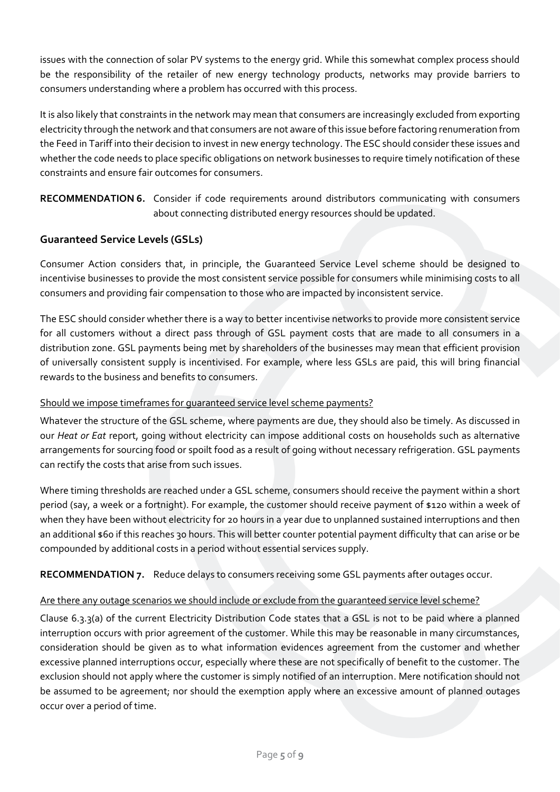issues with the connection of solar PV systems to the energy grid. While this somewhat complex process should be the responsibility of the retailer of new energy technology products, networks may provide barriers to consumers understanding where a problem has occurred with this process.

It is also likely that constraints in the network may mean that consumers are increasingly excluded from exporting electricity through the network and that consumers are not aware of this issue before factoring renumeration from the Feed in Tariff into their decision to invest in new energy technology. The ESC should consider these issues and whether the code needs to place specific obligations on network businesses to require timely notification of these constraints and ensure fair outcomes for consumers.

**RECOMMENDATION 6.** Consider if code requirements around distributors communicating with consumers about connecting distributed energy resources should be updated.

#### <span id="page-4-0"></span>**Guaranteed Service Levels (GSLs)**

Consumer Action considers that, in principle, the Guaranteed Service Level scheme should be designed to incentivise businesses to provide the most consistent service possible for consumers while minimising costs to all consumers and providing fair compensation to those who are impacted by inconsistent service.

The ESC should consider whether there is a way to better incentivise networks to provide more consistent service for all customers without a direct pass through of GSL payment costs that are made to all consumers in a distribution zone. GSL payments being met by shareholders of the businesses may mean that efficient provision of universally consistent supply is incentivised. For example, where less GSLs are paid, this will bring financial rewards to the business and benefits to consumers.

#### <span id="page-4-1"></span>Should we impose timeframes for guaranteed service level scheme payments?

Whatever the structure of the GSL scheme, where payments are due, they should also be timely. As discussed in our *Heat or Eat* report, going without electricity can impose additional costs on households such as alternative arrangements for sourcing food or spoilt food as a result of going without necessary refrigeration. GSL payments can rectify the costs that arise from such issues.

Where timing thresholds are reached under a GSL scheme, consumers should receive the payment within a short period (say, a week or a fortnight). For example, the customer should receive payment of \$120 within a week of when they have been without electricity for 20 hours in a year due to unplanned sustained interruptions and then an additional \$60 if this reaches 30 hours. This will better counter potential payment difficulty that can arise or be compounded by additional costs in a period without essential services supply.

**RECOMMENDATION 7.** Reduce delays to consumers receiving some GSL payments after outages occur.

#### <span id="page-4-2"></span>Are there any outage scenarios we should include or exclude from the guaranteed service level scheme?

Clause 6.3.3(a) of the current Electricity Distribution Code states that a GSL is not to be paid where a planned interruption occurs with prior agreement of the customer. While this may be reasonable in many circumstances, consideration should be given as to what information evidences agreement from the customer and whether excessive planned interruptions occur, especially where these are not specifically of benefit to the customer. The exclusion should not apply where the customer is simply notified of an interruption. Mere notification should not be assumed to be agreement; nor should the exemption apply where an excessive amount of planned outages occur over a period of time.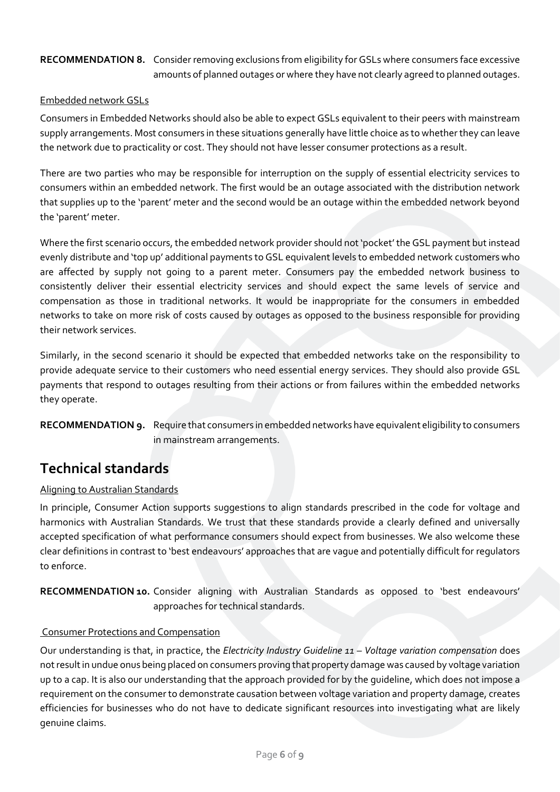#### **RECOMMENDATION 8.** Consider removing exclusions from eligibility for GSLs where consumers face excessive amounts of planned outages or where they have not clearly agreed to planned outages.

#### <span id="page-5-0"></span>Embedded network GSLs

Consumers in Embedded Networks should also be able to expect GSLs equivalent to their peers with mainstream supply arrangements. Most consumers in these situations generally have little choice as to whether they can leave the network due to practicality or cost. They should not have lesser consumer protections as a result.

There are two parties who may be responsible for interruption on the supply of essential electricity services to consumers within an embedded network. The first would be an outage associated with the distribution network that supplies up to the 'parent' meter and the second would be an outage within the embedded network beyond the 'parent' meter.

Where the first scenario occurs, the embedded network provider should not 'pocket'the GSL payment but instead evenly distribute and 'top up' additional payments to GSL equivalent levels to embedded network customers who are affected by supply not going to a parent meter. Consumers pay the embedded network business to consistently deliver their essential electricity services and should expect the same levels of service and compensation as those in traditional networks. It would be inappropriate for the consumers in embedded networks to take on more risk of costs caused by outages as opposed to the business responsible for providing their network services.

Similarly, in the second scenario it should be expected that embedded networks take on the responsibility to provide adequate service to their customers who need essential energy services. They should also provide GSL payments that respond to outages resulting from their actions or from failures within the embedded networks they operate.

#### **RECOMMENDATION 9.** Require that consumers in embedded networks have equivalent eligibility to consumers in mainstream arrangements.

## <span id="page-5-1"></span>**Technical standards**

#### <span id="page-5-2"></span>Aligning to Australian Standards

In principle, Consumer Action supports suggestions to align standards prescribed in the code for voltage and harmonics with Australian Standards. We trust that these standards provide a clearly defined and universally accepted specification of what performance consumers should expect from businesses. We also welcome these clear definitions in contrast to 'best endeavours' approaches that are vague and potentially difficult for regulators to enforce.

**RECOMMENDATION 10.** Consider aligning with Australian Standards as opposed to 'best endeavours' approaches for technical standards.

#### <span id="page-5-3"></span>Consumer Protections and Compensation

Our understanding is that, in practice, the *Electricity Industry Guideline 11 – Voltage variation compensation* does notresult in undue onus being placed on consumers proving that property damage was caused by voltage variation up to a cap. It is also our understanding that the approach provided for by the guideline, which does not impose a requirement on the consumer to demonstrate causation between voltage variation and property damage, creates efficiencies for businesses who do not have to dedicate significant resources into investigating what are likely genuine claims.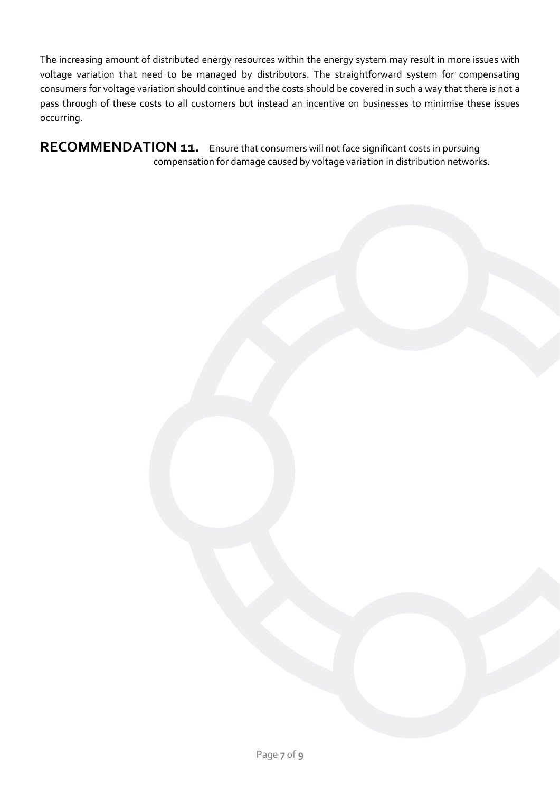The increasing amount of distributed energy resources within the energy system may result in more issues with voltage variation that need to be managed by distributors. The straightforward system for compensating consumers for voltage variation should continue and the costs should be covered in such a way that there is not a pass through of these costs to all customers but instead an incentive on businesses to minimise these issues occurring.

**RECOMMENDATION 11.** Ensure that consumers will not face significant costs in pursuing compensation for damage caused by voltage variation in distribution networks.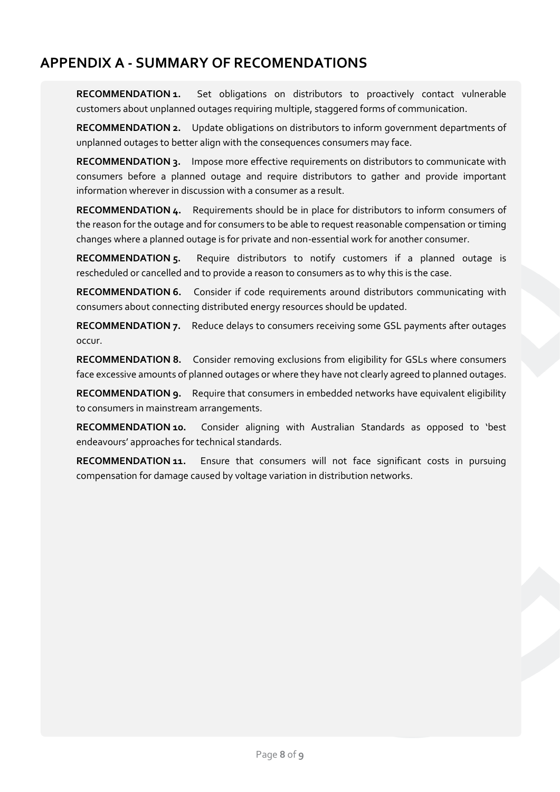# <span id="page-7-0"></span>**APPENDIX A - SUMMARY OF RECOMENDATIONS**

**RECOMMENDATION 1.** Set obligations on distributors to proactively contact vulnerable customers about unplanned outages requiring multiple, staggered forms of communication.

**RECOMMENDATION 2.** Update obligations on distributors to inform government departments of unplanned outages to better align with the consequences consumers may face.

**RECOMMENDATION 3.** Impose more effective requirements on distributors to communicate with consumers before a planned outage and require distributors to gather and provide important information wherever in discussion with a consumer as a result.

**RECOMMENDATION 4.** Requirements should be in place for distributors to inform consumers of the reason for the outage and for consumers to be able to request reasonable compensation or timing changes where a planned outage is for private and non-essential work for another consumer.

**RECOMMENDATION 5.** Require distributors to notify customers if a planned outage is rescheduled or cancelled and to provide a reason to consumers as to why this is the case.

**RECOMMENDATION 6.** Consider if code requirements around distributors communicating with consumers about connecting distributed energy resources should be updated.

**RECOMMENDATION 7.** Reduce delays to consumers receiving some GSL payments after outages occur.

**RECOMMENDATION 8.** Consider removing exclusions from eligibility for GSLs where consumers face excessive amounts of planned outages or where they have not clearly agreed to planned outages.

**RECOMMENDATION 9.** Require that consumers in embedded networks have equivalent eligibility to consumers in mainstream arrangements.

**RECOMMENDATION 10.** Consider aligning with Australian Standards as opposed to 'best endeavours' approaches for technical standards.

**RECOMMENDATION 11.** Ensure that consumers will not face significant costs in pursuing compensation for damage caused by voltage variation in distribution networks.